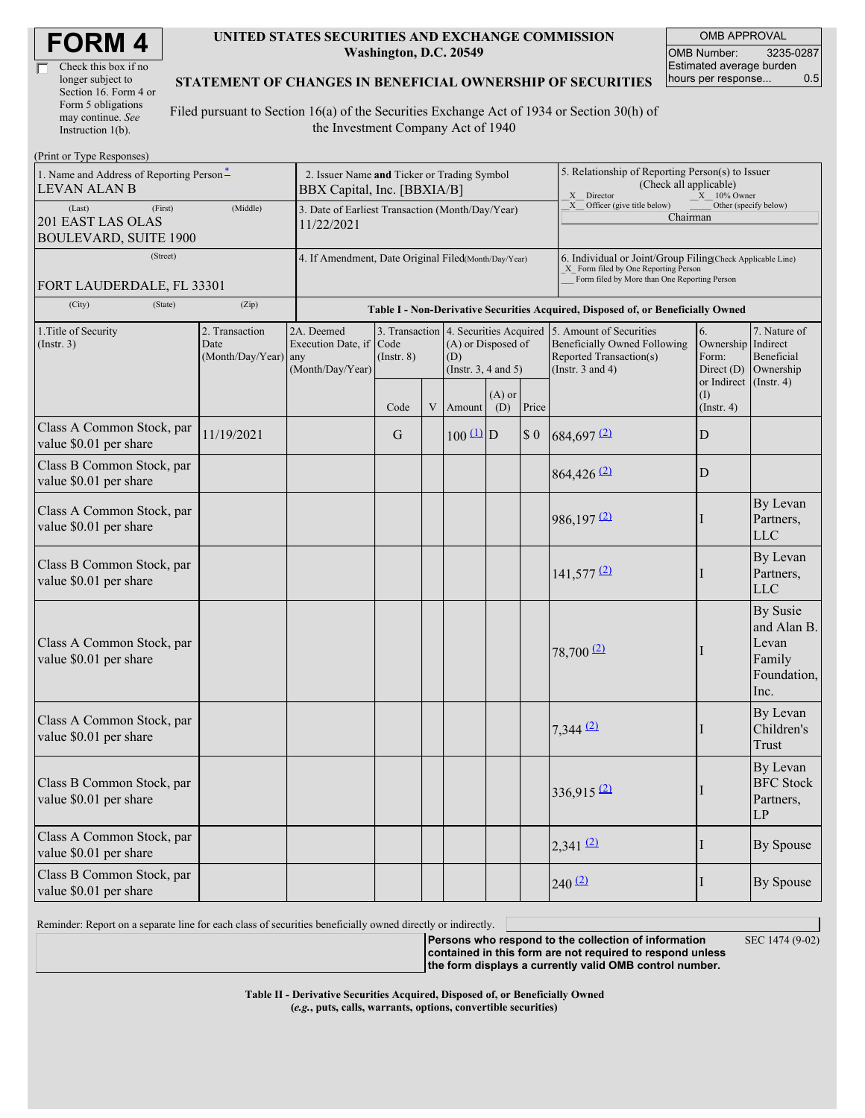| <b>FORM4</b> |  |
|--------------|--|
|--------------|--|

| Check this box if no  |
|-----------------------|
| longer subject to     |
| Section 16. Form 4 or |
| Form 5 obligations    |
| may continue. See     |
| Instruction 1(b).     |

#### **UNITED STATES SECURITIES AND EXCHANGE COMMISSION Washington, D.C. 20549**

OMB APPROVAL OMB Number: 3235-0287 Estimated average burden hours per response... 0.5

### **STATEMENT OF CHANGES IN BENEFICIAL OWNERSHIP OF SECURITIES**

Filed pursuant to Section 16(a) of the Securities Exchange Act of 1934 or Section 30(h) of the Investment Company Act of 1940

| (Print or Type Responses)                                              |                                                                            |                                                              |                         |   |                                                                                                |                                                                                                                                                    |                                                                                                              |                                                                                                             |                                                                  |                                                                   |  |
|------------------------------------------------------------------------|----------------------------------------------------------------------------|--------------------------------------------------------------|-------------------------|---|------------------------------------------------------------------------------------------------|----------------------------------------------------------------------------------------------------------------------------------------------------|--------------------------------------------------------------------------------------------------------------|-------------------------------------------------------------------------------------------------------------|------------------------------------------------------------------|-------------------------------------------------------------------|--|
| 1. Name and Address of Reporting Person-<br><b>LEVAN ALAN B</b>        | 2. Issuer Name and Ticker or Trading Symbol<br>BBX Capital, Inc. [BBXIA/B] |                                                              |                         |   |                                                                                                |                                                                                                                                                    | 5. Relationship of Reporting Person(s) to Issuer<br>(Check all applicable)<br>X Director<br>$X = 10\%$ Owner |                                                                                                             |                                                                  |                                                                   |  |
| (First)<br>(Last)<br>201 EAST LAS OLAS<br><b>BOULEVARD, SUITE 1900</b> | 3. Date of Earliest Transaction (Month/Day/Year)<br>11/22/2021             |                                                              |                         |   |                                                                                                |                                                                                                                                                    | Other (specify below)<br>X Officer (give title below)<br>Chairman                                            |                                                                                                             |                                                                  |                                                                   |  |
| (Street)<br>FORT LAUDERDALE, FL 33301                                  | 4. If Amendment, Date Original Filed(Month/Day/Year)                       |                                                              |                         |   |                                                                                                | 6. Individual or Joint/Group Filing Check Applicable Line)<br>X Form filed by One Reporting Person<br>Form filed by More than One Reporting Person |                                                                                                              |                                                                                                             |                                                                  |                                                                   |  |
| (City)<br>(State)                                                      | (Zip)                                                                      |                                                              |                         |   |                                                                                                |                                                                                                                                                    | Table I - Non-Derivative Securities Acquired, Disposed of, or Beneficially Owned                             |                                                                                                             |                                                                  |                                                                   |  |
| 1. Title of Security<br>$($ Instr. 3 $)$                               | 2. Transaction<br>Date<br>(Month/Day/Year) any                             | 2A. Deemed<br><b>Execution Date</b> , if<br>(Month/Day/Year) | Code<br>$($ Instr. $8)$ |   | 3. Transaction 4. Securities Acquired<br>(A) or Disposed of<br>(D)<br>(Instr. $3, 4$ and $5$ ) |                                                                                                                                                    |                                                                                                              | 5. Amount of Securities<br>Beneficially Owned Following<br>Reported Transaction(s)<br>(Instr. $3$ and $4$ ) | 6.<br>Ownership Indirect<br>Form:<br>Direct $(D)$<br>or Indirect | 7. Nature of<br>Beneficial<br>Ownership<br>$($ Instr. 4 $)$       |  |
|                                                                        |                                                                            |                                                              | Code                    | V | Amount                                                                                         | $(A)$ or<br>(D)                                                                                                                                    | Price                                                                                                        |                                                                                                             | (I)<br>$($ Instr. 4 $)$                                          |                                                                   |  |
| Class A Common Stock, par<br>value \$0.01 per share                    | 11/19/2021                                                                 |                                                              | G                       |   | $100 \frac{(\text{L})}{\text{D}}$                                                              |                                                                                                                                                    | $\boldsymbol{\mathsf{S}}$ 0                                                                                  | $684,697$ <sup>(2)</sup>                                                                                    | D                                                                |                                                                   |  |
| Class B Common Stock, par<br>value \$0.01 per share                    |                                                                            |                                                              |                         |   |                                                                                                |                                                                                                                                                    |                                                                                                              | 864,426 (2)                                                                                                 | D                                                                |                                                                   |  |
| Class A Common Stock, par<br>value \$0.01 per share                    |                                                                            |                                                              |                         |   |                                                                                                |                                                                                                                                                    |                                                                                                              | $986,197$ <sup>(2)</sup>                                                                                    |                                                                  | By Levan<br>Partners,<br><b>LLC</b>                               |  |
| Class B Common Stock, par<br>value \$0.01 per share                    |                                                                            |                                                              |                         |   |                                                                                                |                                                                                                                                                    |                                                                                                              | $141,577$ <sup>(2)</sup>                                                                                    |                                                                  | By Levan<br>Partners,<br><b>LLC</b>                               |  |
| Class A Common Stock, par<br>value \$0.01 per share                    |                                                                            |                                                              |                         |   |                                                                                                |                                                                                                                                                    |                                                                                                              | $78,700$ $(2)$                                                                                              |                                                                  | By Susie<br>and Alan B.<br>Levan<br>Family<br>Foundation,<br>Inc. |  |
| Class A Common Stock, par<br>value \$0.01 per share                    |                                                                            |                                                              |                         |   |                                                                                                |                                                                                                                                                    |                                                                                                              | $7,344$ (2)                                                                                                 |                                                                  | By Levan<br>Children's<br>Trust                                   |  |
| Class B Common Stock, par<br>value \$0.01 per share                    |                                                                            |                                                              |                         |   |                                                                                                |                                                                                                                                                    |                                                                                                              | $336,915$ <sup>(2)</sup>                                                                                    |                                                                  | By Levan<br><b>BFC</b> Stock<br>Partners,<br>LP                   |  |
| Class A Common Stock, par<br>value \$0.01 per share                    |                                                                            |                                                              |                         |   |                                                                                                |                                                                                                                                                    |                                                                                                              | $2,341$ $(2)$                                                                                               | H                                                                | By Spouse                                                         |  |
| Class B Common Stock, par<br>value \$0.01 per share                    |                                                                            |                                                              |                         |   |                                                                                                |                                                                                                                                                    |                                                                                                              | $240^{(2)}$                                                                                                 |                                                                  | By Spouse                                                         |  |

Reminder: Report on a separate line for each class of securities beneficially owned directly or indirectly.

**Persons who respond to the collection of information contained in this form are not required to respond unless the form displays a currently valid OMB control number.**

SEC 1474 (9-02)

**Table II - Derivative Securities Acquired, Disposed of, or Beneficially Owned (***e.g.***, puts, calls, warrants, options, convertible securities)**